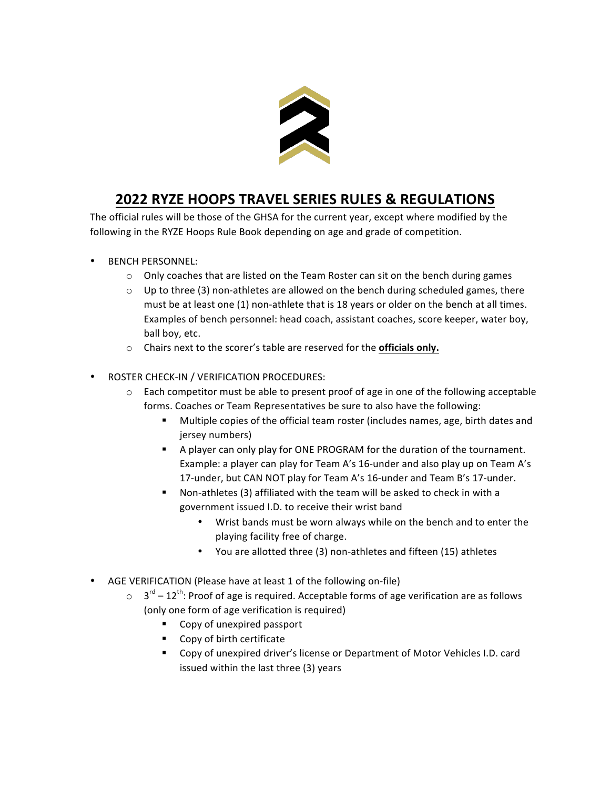

## **2022 RYZE HOOPS TRAVEL SERIES RULES & REGULATIONS**

The official rules will be those of the GHSA for the current year, except where modified by the following in the RYZE Hoops Rule Book depending on age and grade of competition.

- BENCH PERSONNEL:
	- $\circ$  Only coaches that are listed on the Team Roster can sit on the bench during games
	- $\circ$  Up to three (3) non-athletes are allowed on the bench during scheduled games, there must be at least one (1) non-athlete that is 18 years or older on the bench at all times. Examples of bench personnel: head coach, assistant coaches, score keeper, water boy, ball boy, etc.
	- o Chairs next to the scorer's table are reserved for the **officials only.**
- ROSTER CHECK-IN / VERIFICATION PROCEDURES:
	- $\circ$  Each competitor must be able to present proof of age in one of the following acceptable forms. Coaches or Team Representatives be sure to also have the following:
		- Multiple copies of the official team roster (includes names, age, birth dates and jersey numbers)
		- A player can only play for ONE PROGRAM for the duration of the tournament. Example: a player can play for Team A's 16-under and also play up on Team A's 17-under, but CAN NOT play for Team A's 16-under and Team B's 17-under.
		- Non-athletes (3) affiliated with the team will be asked to check in with a government issued I.D. to receive their wrist band
			- Wrist bands must be worn always while on the bench and to enter the playing facility free of charge.
			- You are allotted three (3) non-athletes and fifteen (15) athletes
- AGE VERIFICATION (Please have at least 1 of the following on-file)
	- $\circ$  3<sup>rd</sup> 12<sup>th</sup>: Proof of age is required. Acceptable forms of age verification are as follows (only one form of age verification is required)
		- Copy of unexpired passport
		- Copy of birth certificate
		- Copy of unexpired driver's license or Department of Motor Vehicles I.D. card issued within the last three (3) years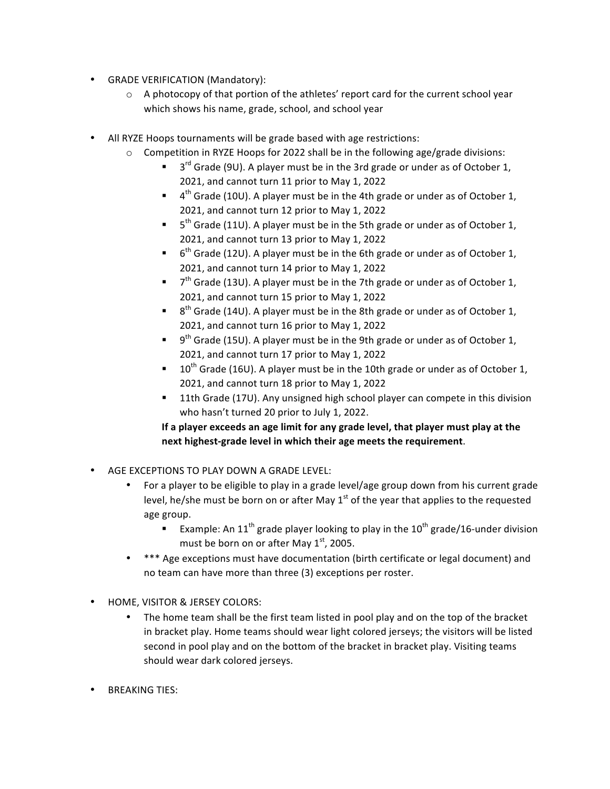- GRADE VERIFICATION (Mandatory):
	- $\circ$  A photocopy of that portion of the athletes' report card for the current school year which shows his name, grade, school, and school year
- All RYZE Hoops tournaments will be grade based with age restrictions:
	- $\circ$  Competition in RYZE Hoops for 2022 shall be in the following age/grade divisions:
		- **•**  $3^{rd}$  Grade (9U). A player must be in the 3rd grade or under as of October 1, 2021, and cannot turn 11 prior to May 1, 2022
		- $\bullet$  4<sup>th</sup> Grade (10U). A player must be in the 4th grade or under as of October 1, 2021, and cannot turn 12 prior to May 1, 2022
		- **•**  $5<sup>th</sup>$  Grade (11U). A player must be in the 5th grade or under as of October 1, 2021, and cannot turn 13 prior to May 1, 2022
		- 6<sup>th</sup> Grade (12U). A player must be in the 6th grade or under as of October 1, 2021, and cannot turn 14 prior to May 1, 2022
		- **•**  $7<sup>th</sup>$  Grade (13U). A player must be in the 7th grade or under as of October 1, 2021, and cannot turn 15 prior to May 1, 2022
		- **•** 8<sup>th</sup> Grade (14U). A player must be in the 8th grade or under as of October 1, 2021, and cannot turn 16 prior to May 1, 2022
		- **•** 9<sup>th</sup> Grade (15U). A player must be in the 9th grade or under as of October 1, 2021, and cannot turn 17 prior to May 1, 2022
		- **•** 10<sup>th</sup> Grade (16U). A player must be in the 10th grade or under as of October 1, 2021, and cannot turn 18 prior to May 1, 2022
		- 11th Grade (17U). Any unsigned high school player can compete in this division who hasn't turned 20 prior to July 1, 2022.

If a player exceeds an age limit for any grade level, that player must play at the next highest-grade level in which their age meets the requirement.

- AGE EXCEPTIONS TO PLAY DOWN A GRADE LEVEL:
	- For a player to be eligible to play in a grade level/age group down from his current grade level, he/she must be born on or after May  $1<sup>st</sup>$  of the year that applies to the requested age group.
		- Example: An 11<sup>th</sup> grade player looking to play in the 10<sup>th</sup> grade/16-under division must be born on or after May  $1<sup>st</sup>$ , 2005.
	- \*\*\* Age exceptions must have documentation (birth certificate or legal document) and no team can have more than three (3) exceptions per roster.
- HOME, VISITOR & JERSEY COLORS:
	- The home team shall be the first team listed in pool play and on the top of the bracket in bracket play. Home teams should wear light colored jerseys; the visitors will be listed second in pool play and on the bottom of the bracket in bracket play. Visiting teams should wear dark colored jerseys.
- **BREAKING TIFS:**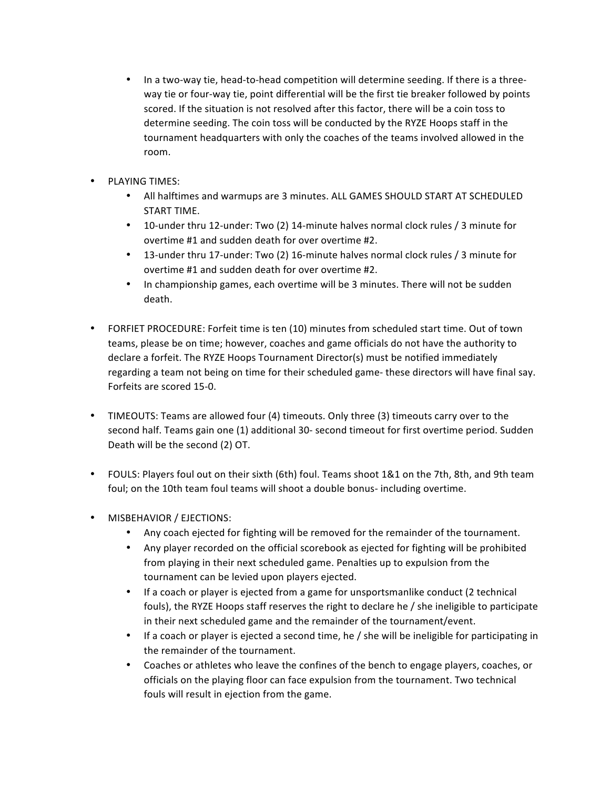- In a two-way tie, head-to-head competition will determine seeding. If there is a threeway tie or four-way tie, point differential will be the first tie breaker followed by points scored. If the situation is not resolved after this factor, there will be a coin toss to determine seeding. The coin toss will be conducted by the RYZE Hoops staff in the tournament headquarters with only the coaches of the teams involved allowed in the room.
- PLAYING TIMES:
	- All halftimes and warmups are 3 minutes. ALL GAMES SHOULD START AT SCHEDULED START TIME.
	- 10-under thru 12-under: Two (2) 14-minute halves normal clock rules / 3 minute for overtime #1 and sudden death for over overtime #2.
	- 13-under thru 17-under: Two (2) 16-minute halves normal clock rules  $/$  3 minute for overtime #1 and sudden death for over overtime #2.
	- In championship games, each overtime will be 3 minutes. There will not be sudden death.
- FORFIET PROCEDURE: Forfeit time is ten (10) minutes from scheduled start time. Out of town teams, please be on time; however, coaches and game officials do not have the authority to declare a forfeit. The RYZE Hoops Tournament Director(s) must be notified immediately regarding a team not being on time for their scheduled game- these directors will have final say. Forfeits are scored 15-0.
- TIMEOUTS: Teams are allowed four (4) timeouts. Only three (3) timeouts carry over to the second half. Teams gain one (1) additional 30- second timeout for first overtime period. Sudden Death will be the second (2) OT.
- FOULS: Players foul out on their sixth (6th) foul. Teams shoot 1&1 on the 7th, 8th, and 9th team foul; on the 10th team foul teams will shoot a double bonus- including overtime.
- MISBEHAVIOR / EJECTIONS:
	- Any coach ejected for fighting will be removed for the remainder of the tournament.
	- Any player recorded on the official scorebook as ejected for fighting will be prohibited from playing in their next scheduled game. Penalties up to expulsion from the tournament can be levied upon players ejected.
	- If a coach or player is ejected from a game for unsportsmanlike conduct (2 technical fouls), the RYZE Hoops staff reserves the right to declare he / she ineligible to participate in their next scheduled game and the remainder of the tournament/event.
	- If a coach or player is ejected a second time, he / she will be ineligible for participating in the remainder of the tournament.
	- Coaches or athletes who leave the confines of the bench to engage players, coaches, or officials on the playing floor can face expulsion from the tournament. Two technical fouls will result in ejection from the game.